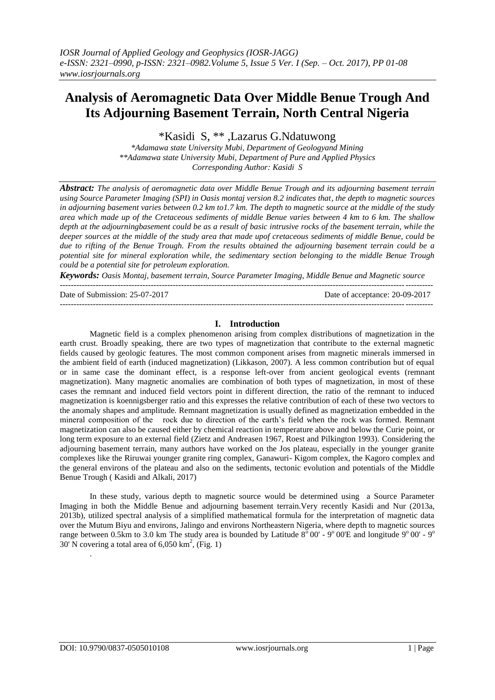# **Analysis of Aeromagnetic Data Over Middle Benue Trough And Its Adjourning Basement Terrain, North Central Nigeria**

\*Kasidi S, \*\* ,Lazarus G.Ndatuwong

*\*Adamawa state University Mubi, Department of Geologyand Mining \*\*Adamawa state University Mubi, Department of Pure and Applied Physics Corresponding Author: Kasidi S*

*Abstract: The analysis of aeromagnetic data over Middle Benue Trough and its adjourning basement terrain using Source Parameter Imaging (SPI) in Oasis montaj version 8.2 indicates that, the depth to magnetic sources in adjourning basement varies between 0.2 km to1.7 km. The depth to magnetic source at the middle of the study area which made up of the Cretaceous sediments of middle Benue varies between 4 km to 6 km. The shallow depth at the adjourningbasement could be as a result of basic intrusive rocks of the basement terrain, while the deeper sources at the middle of the study area that made upof cretaceous sediments of middle Benue, could be due to rifting of the Benue Trough. From the results obtained the adjourning basement terrain could be a potential site for mineral exploration while, the sedimentary section belonging to the middle Benue Trough could be a potential site for petroleum exploration.*

*Keywords: Oasis Montaj, basement terrain, Source Parameter Imaging, Middle Benue and Magnetic source* ---------------------------------------------------------------------------------------------------------------------------------------

Date of Submission: 25-07-2017 Date of acceptance: 20-09-2017

### **I. Introduction**

---------------------------------------------------------------------------------------------------------------------------------------

Magnetic field is a complex phenomenon arising from complex distributions of magnetization in the earth crust. Broadly speaking, there are two types of magnetization that contribute to the external magnetic fields caused by geologic features. The most common component arises from magnetic minerals immersed in the ambient field of earth (induced magnetization) (Likkason, 2007). A less common contribution but of equal or in same case the dominant effect, is a response left-over from ancient geological events (remnant magnetization). Many magnetic anomalies are combination of both types of magnetization, in most of these cases the remnant and induced field vectors point in different direction, the ratio of the remnant to induced magnetization is koennigsberger ratio and this expresses the relative contribution of each of these two vectors to the anomaly shapes and amplitude. Remnant magnetization is usually defined as magnetization embedded in the mineral composition of the rock due to direction of the earth's field when the rock was formed. Remnant magnetization can also be caused either by chemical reaction in temperature above and below the Curie point, or long term exposure to an external field (Zietz and Andreasen 1967, Roest and Pilkington 1993). Considering the adjourning basement terrain, many authors have worked on the Jos plateau, especially in the younger granite complexes like the Riruwai younger granite ring complex, Ganawuri- Kigom complex, the Kagoro complex and the general environs of the plateau and also on the sediments, tectonic evolution and potentials of the Middle Benue Trough ( Kasidi and Alkali, 2017)

In these study, various depth to magnetic source would be determined using a Source Parameter Imaging in both the Middle Benue and adjourning basement terrain.Very recently Kasidi and Nur (2013a, 2013b), utilized spectral analysis of a simplified mathematical formula for the interpretation of magnetic data over the Mutum Biyu and environs, Jalingo and environs Northeastern Nigeria, where depth to magnetic sources range between 0.5km to 3.0 km The study area is bounded by Latitude  $8^{\circ}$  00' - 9° 00'E and longitude 9° 00' - 9° 30' N covering a total area of  $6,050 \text{ km}^2$ , (Fig. 1)

.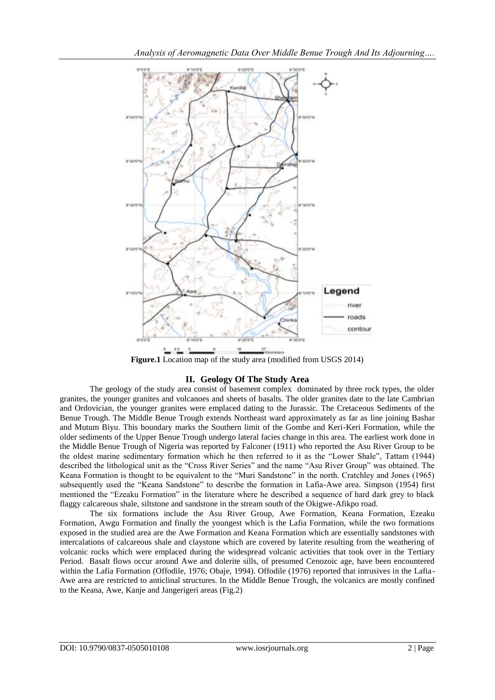

**Figure.1** Location map of the study area (modified from USGS 2014)

# **II. Geology Of The Study Area**

The geology of the study area consist of basement complex dominated by three rock types, the older granites, the younger granites and volcanoes and sheets of basalts. The older granites date to the late Cambrian and Ordovician, the younger granites were emplaced dating to the Jurassic. The Cretaceous Sediments of the Benue Trough. The Middle Benue Trough extends Northeast ward approximately as far as line joining Bashar and Mutum Biyu. This boundary marks the Southern limit of the Gombe and Keri-Keri Formation, while the older sediments of the Upper Benue Trough undergo lateral facies change in this area. The earliest work done in the Middle Benue Trough of Nigeria was reported by Falconer (1911) who reported the Asu River Group to be the oldest marine sedimentary formation which he then referred to it as the "Lower Shale", Tattam (1944) described the lithological unit as the "Cross River Series" and the name "Asu River Group" was obtained. The Keana Formation is thought to be equivalent to the "Muri Sandstone" in the north. Cratchley and Jones (1965) subsequently used the "Keana Sandstone" to describe the formation in Lafia-Awe area. Simpson (1954) first mentioned the "Ezeaku Formation" in the literature where he described a sequence of hard dark grey to black flaggy calcareous shale, siltstone and sandstone in the stream south of the Okigwe-Afikpo road.

The six formations include the Asu River Group, Awe Formation, Keana Formation, Ezeaku Formation, Awgu Formation and finally the youngest which is the Lafia Formation, while the two formations exposed in the studied area are the Awe Formation and Keana Formation which are essentially sandstones with intercalations of calcareous shale and claystone which are covered by laterite resulting from the weathering of volcanic rocks which were emplaced during the widespread volcanic activities that took over in the Tertiary Period. Basalt flows occur around Awe and dolerite sills, of presumed Cenozoic age, have been encountered within the Lafia Formation (Offodile, 1976; Obaje, 1994). Offodile (1976) reported that intrusives in the Lafia-Awe area are restricted to anticlinal structures. In the Middle Benue Trough, the volcanics are mostly confined to the Keana, Awe, Kanje and Jangerigeri areas (Fig.2)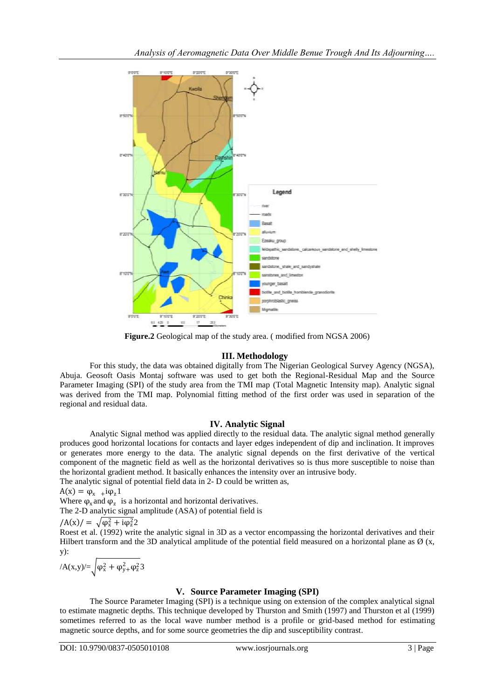

**Figure.2** Geological map of the study area. ( modified from NGSA 2006)

### **III. Methodology**

For this study, the data was obtained digitally from The Nigerian Geological Survey Agency (NGSA), Abuja. Geosoft Oasis Montaj software was used to get both the Regional-Residual Map and the Source Parameter Imaging (SPI) of the study area from the TMI map (Total Magnetic Intensity map). Analytic signal was derived from the TMI map. Polynomial fitting method of the first order was used in separation of the regional and residual data.

## **IV. Analytic Signal**

Analytic Signal method was applied directly to the residual data. The analytic signal method generally produces good horizontal locations for contacts and layer edges independent of dip and inclination. It improves or generates more energy to the data. The analytic signal depends on the first derivative of the vertical component of the magnetic field as well as the horizontal derivatives so is thus more susceptible to noise than the horizontal gradient method. It basically enhances the intensity over an intrusive body. The analytic signal of potential field data in 2- D could be written as,

 $A(x) = \varphi_{x}$  +i $\varphi_{z}$ 1

Where  $\varphi_x$  and  $\varphi_z$  is a horizontal and horizontal derivatives.

The 2-D analytic signal amplitude (ASA) of potential field is

$$
/A(x)/ = \sqrt{\varphi_x^2 + i\varphi_z^2} 2
$$

Roest et al. (1992) write the analytic signal in 3D as a vector encompassing the horizontal derivatives and their Hilbert transform and the 3D analytical amplitude of the potential field measured on a horizontal plane as  $\varnothing$  (x, y):

$$
/A(x,y)/=\sqrt{\phi_x^2+\phi_y^2+\phi_z^2}3
$$

# **V. Source Parameter Imaging (SPI)**

The Source Parameter Imaging (SPI) is a technique using on extension of the complex analytical signal to estimate magnetic depths. This technique developed by Thurston and Smith (1997) and Thurston et al (1999) sometimes referred to as the local wave number method is a profile or grid-based method for estimating magnetic source depths, and for some source geometries the dip and susceptibility contrast.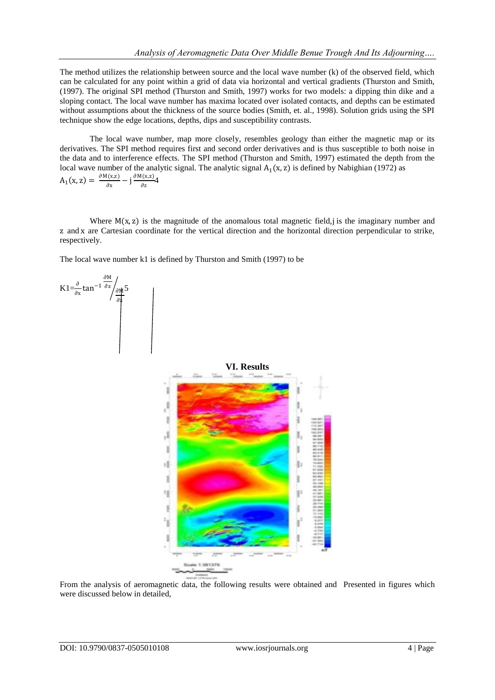The method utilizes the relationship between source and the local wave number (k) of the observed field, which can be calculated for any point within a grid of data via horizontal and vertical gradients (Thurston and Smith, (1997). The original SPI method (Thurston and Smith, 1997) works for two models: a dipping thin dike and a sloping contact. The local wave number has maxima located over isolated contacts, and depths can be estimated without assumptions about the thickness of the source bodies (Smith, et. al., 1998). Solution grids using the SPI technique show the edge locations, depths, dips and susceptibility contrasts.

The local wave number, map more closely, resembles geology than either the magnetic map or its derivatives. The SPI method requires first and second order derivatives and is thus susceptible to both noise in the data and to interference effects. The SPI method (Thurston and Smith, 1997) estimated the depth from the local wave number of the analytic signal. The analytic signal  $A_1(x, z)$  is defined by Nabighian (1972) as  $A_1(x, z) = \frac{\partial M(x, z)}{\partial x}$  $rac{f(x,z)}{\partial x} - j\frac{\partial M(x,z)}{\partial z}$  $rac{\lambda^{(A,2)}}{\partial z}$ 4

Where  $M(x, z)$  is the magnitude of the anomalous total magnetic field, is the imaginary number and z and x are Cartesian coordinate for the vertical direction and the horizontal direction perpendicular to strike, respectively.

The local wave number k1 is defined by Thurston and Smith (1997) to be

$$
K1 = \frac{\partial}{\partial x} \tan^{-1} \frac{\frac{\partial M}{\partial z}}{\frac{\partial M}{\partial x}} \frac{5}{\frac{\partial M}{\partial z}}
$$



From the analysis of aeromagnetic data, the following results were obtained and Presented in figures which were discussed below in detailed,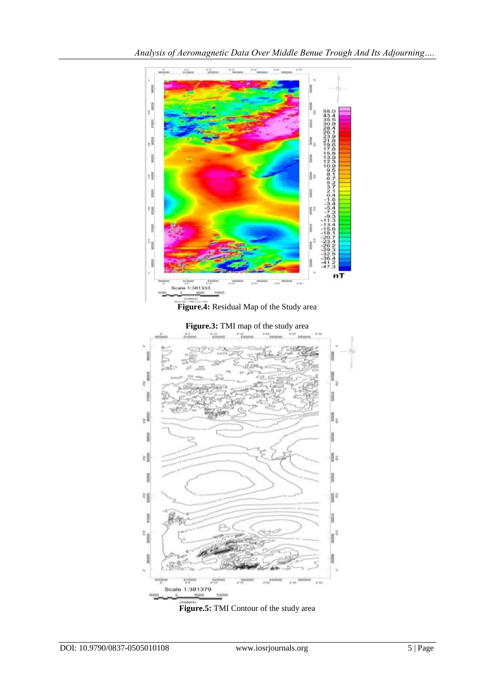

**Figure.4:** Residual Map of the Study area

22 k ł × ł 嘎 ğ, l l  $\frac{1}{2}$  $\frac{1}{2}$ p.,  $\lambda$ **Triples** 漰 Scale 1:381379 10000

**Figure.3:** TMI map of the study area

**Figure.5:** TMI Contour of the study area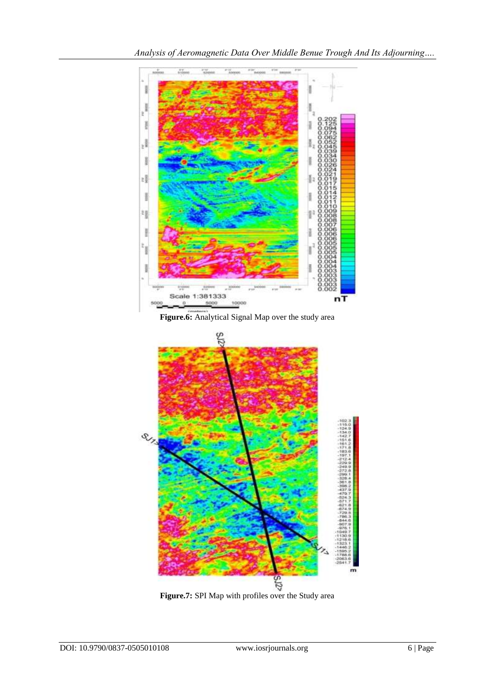

**Figure.6:** Analytical Signal Map over the study area

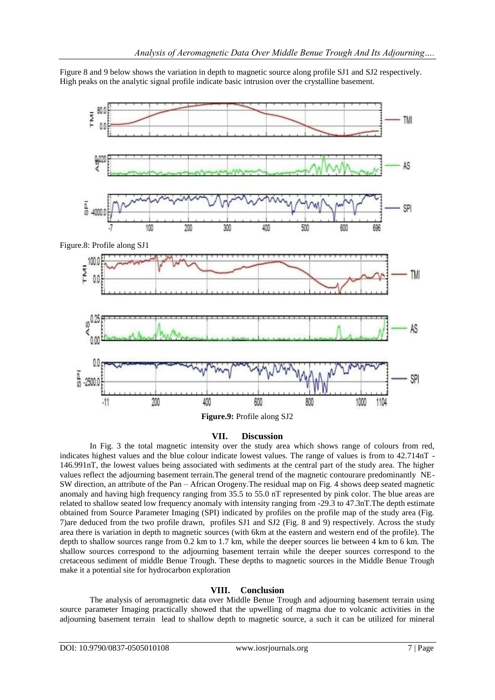Figure 8 and 9 below shows the variation in depth to magnetic source along profile SJ1 and SJ2 respectively. High peaks on the analytic signal profile indicate basic intrusion over the crystalline basement.



### **VII. Discussion**

In Fig. 3 the total magnetic intensity over the study area which shows range of colours from red, indicates highest values and the blue colour indicate lowest values. The range of values is from to 42.714nT - 146.991nT, the lowest values being associated with sediments at the central part of the study area. The higher values reflect the adjourning basement terrain.The general trend of the magnetic contourare predominantly NE-SW direction, an attribute of the Pan – African Orogeny.The residual map on Fig. 4 shows deep seated magnetic anomaly and having high frequency ranging from 35.5 to 55.0 nT represented by pink color. The blue areas are related to shallow seated low frequency anomaly with intensity ranging from -29.3 to 47.3nT.The depth estimate obtained from Source Parameter Imaging (SPI) indicated by profiles on the profile map of the study area (Fig. 7)are deduced from the two profile drawn, profiles SJ1 and SJ2 (Fig. 8 and 9) respectively. Across the study area there is variation in depth to magnetic sources (with 6km at the eastern and western end of the profile). The depth to shallow sources range from 0.2 km to 1.7 km, while the deeper sources lie between 4 km to 6 km. The shallow sources correspond to the adjourning basement terrain while the deeper sources correspond to the cretaceous sediment of middle Benue Trough. These depths to magnetic sources in the Middle Benue Trough make it a potential site for hydrocarbon exploration

### **VIII. Conclusion**

The analysis of aeromagnetic data over Middle Benue Trough and adjourning basement terrain using source parameter Imaging practically showed that the upwelling of magma due to volcanic activities in the adjourning basement terrain lead to shallow depth to magnetic source, a such it can be utilized for mineral